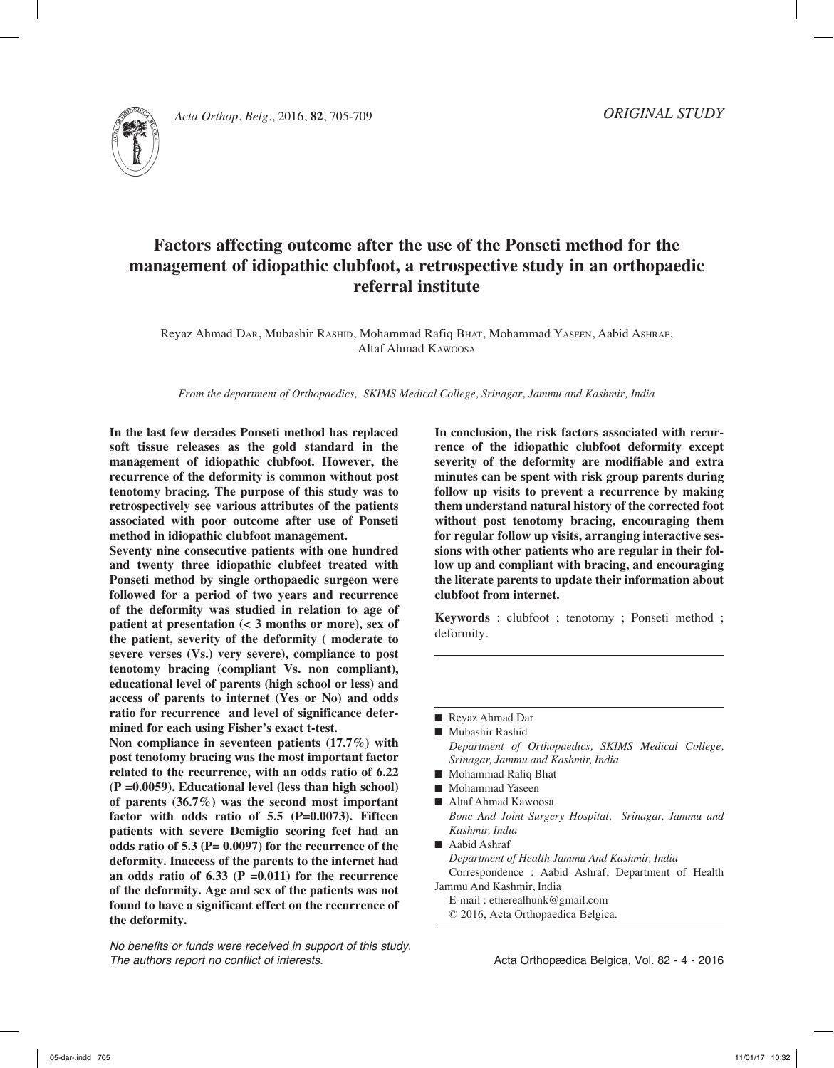



*Acta Orthop. Belg.*, 2016, **82**, 705-709

# **Factors affecting outcome after the use of the Ponseti method for the management of idiopathic clubfoot, a retrospective study in an orthopaedic referral institute**

Reyaz Ahmad Dar, Mubashir Rashid, Mohammad Rafiq Bhat, Mohammad Yaseen, Aabid Ashraf, Altaf Ahmad Kawoosa

*From the department of Orthopaedics, SKIMS Medical College, Srinagar, Jammu and Kashmir, India*

**In the last few decades Ponseti method has replaced soft tissue releases as the gold standard in the management of idiopathic clubfoot. However, the recurrence of the deformity is common without post tenotomy bracing. The purpose of this study was to retrospectively see various attributes of the patients associated with poor outcome after use of Ponseti method in idiopathic clubfoot management.**

**Seventy nine consecutive patients with one hundred and twenty three idiopathic clubfeet treated with Ponseti method by single orthopaedic surgeon were followed for a period of two years and recurrence of the deformity was studied in relation to age of patient at presentation (< 3 months or more), sex of the patient, severity of the deformity ( moderate to severe verses (Vs.) very severe), compliance to post tenotomy bracing (compliant Vs. non compliant), educational level of parents (high school or less) and access of parents to internet (Yes or No) and odds ratio for recurrence and level of significance determined for each using Fisher's exact t-test.**

**Non compliance in seventeen patients (17.7%) with post tenotomy bracing was the most important factor related to the recurrence, with an odds ratio of 6.22 (P =0.0059). Educational level (less than high school) of parents (36.7%) was the second most important factor with odds ratio of 5.5 (P=0.0073). Fifteen patients with severe Demiglio scoring feet had an odds ratio of 5.3 (P= 0.0097) for the recurrence of the deformity. Inaccess of the parents to the internet had an odds ratio of 6.33 (P =0.011) for the recurrence of the deformity. Age and sex of the patients was not found to have a significant effect on the recurrence of the deformity.**

*No benefits or funds were received in support of this study. The authors report no conflict of interests.* 

**In conclusion, the risk factors associated with recurrence of the idiopathic clubfoot deformity except severity of the deformity are modifiable and extra minutes can be spent with risk group parents during follow up visits to prevent a recurrence by making them understand natural history of the corrected foot without post tenotomy bracing, encouraging them for regular follow up visits, arranging interactive sessions with other patients who are regular in their follow up and compliant with bracing, and encouraging the literate parents to update their information about clubfoot from internet.** 

**Keywords** : clubfoot ; tenotomy ; Ponseti method ; deformity.

Reyaz Ahmad Dar

- Mubashir Rashid *Department of Orthopaedics, SKIMS Medical College, Srinagar, Jammu and Kashmir, India*
- $\blacksquare$  Mohammad Rafiq Bhat
- Mohammad Yaseen
- Altaf Ahmad Kawoosa *Bone And Joint Surgery Hospital, Srinagar, Jammu and Kashmir, India*
- $\blacksquare$  Aabid Ashraf *Department of Health Jammu And Kashmir, India* Correspondence : Aabid Ashraf, Department of Health Jammu And Kashmir, India
	- E-mail : etherealhunk@gmail.com
	- © 2016, Acta Orthopaedica Belgica.

Acta Orthopædica Belgica, Vol. 82 - 4 - 2016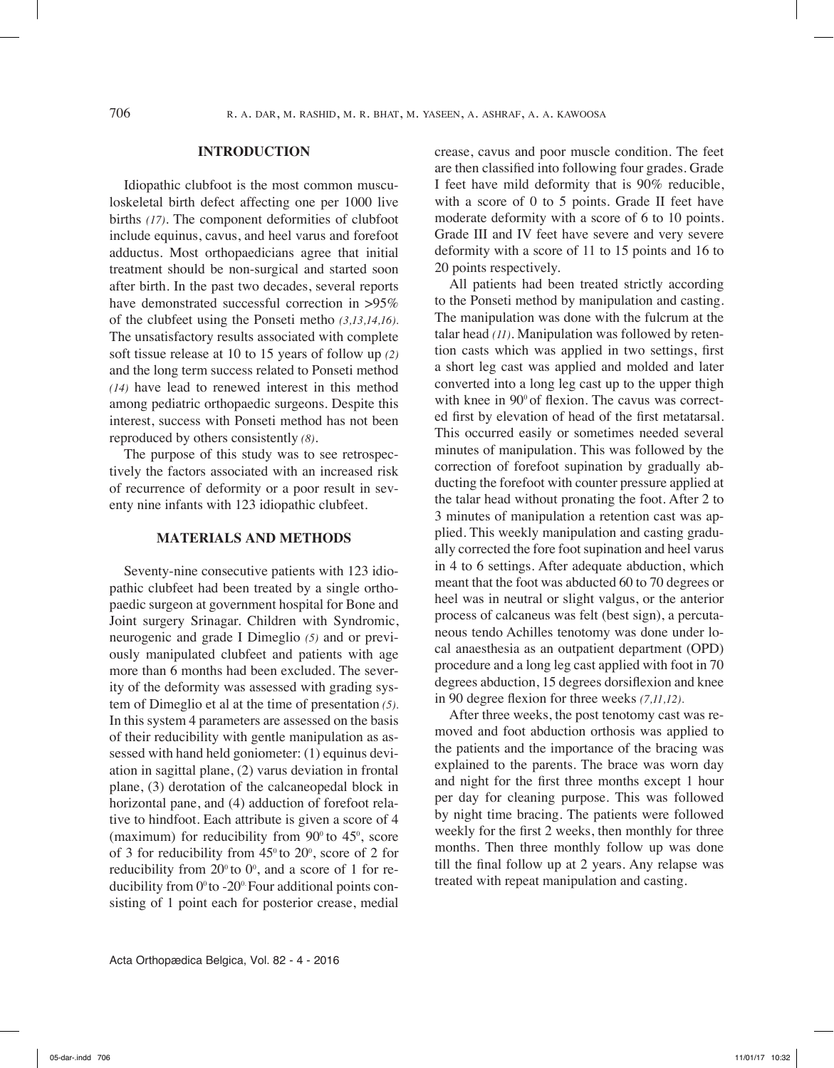# **Introduction**

Idiopathic clubfoot is the most common musculoskeletal birth defect affecting one per 1000 live births *(17)*. The component deformities of clubfoot include equinus, cavus, and heel varus and forefoot adductus. Most orthopaedicians agree that initial treatment should be non-surgical and started soon after birth. In the past two decades, several reports have demonstrated successful correction in >95% of the clubfeet using the Ponseti metho *(3,13,14,16)*. The unsatisfactory results associated with complete soft tissue release at 10 to 15 years of follow up *(2)* and the long term success related to Ponseti method *(14)* have lead to renewed interest in this method among pediatric orthopaedic surgeons. Despite this interest, success with Ponseti method has not been reproduced by others consistently *(8)*.

The purpose of this study was to see retrospectively the factors associated with an increased risk of recurrence of deformity or a poor result in seventy nine infants with 123 idiopathic clubfeet.

## **Materials and Methods**

Seventy-nine consecutive patients with 123 idiopathic clubfeet had been treated by a single orthopaedic surgeon at government hospital for Bone and Joint surgery Srinagar. Children with Syndromic, neurogenic and grade I Dimeglio *(5)* and or previously manipulated clubfeet and patients with age more than 6 months had been excluded. The severity of the deformity was assessed with grading system of Dimeglio et al at the time of presentation *(5).* In this system 4 parameters are assessed on the basis of their reducibility with gentle manipulation as assessed with hand held goniometer: (1) equinus deviation in sagittal plane, (2) varus deviation in frontal plane, (3) derotation of the calcaneopedal block in horizontal pane, and (4) adduction of forefoot relative to hindfoot. Each attribute is given a score of 4 (maximum) for reducibility from  $90^{\circ}$  to  $45^{\circ}$ , score of 3 for reducibility from  $45^{\circ}$  to  $20^{\circ}$ , score of 2 for reducibility from  $20^{\circ}$  to  $0^{\circ}$ , and a score of 1 for reducibility from  $0^\circ$  to -20 $^\circ$ . Four additional points consisting of 1 point each for posterior crease, medial

crease, cavus and poor muscle condition. The feet are then classified into following four grades. Grade I feet have mild deformity that is 90% reducible, with a score of 0 to 5 points. Grade II feet have moderate deformity with a score of 6 to 10 points. Grade III and IV feet have severe and very severe deformity with a score of 11 to 15 points and 16 to 20 points respectively.

All patients had been treated strictly according to the Ponseti method by manipulation and casting. The manipulation was done with the fulcrum at the talar head *(11)*. Manipulation was followed by retention casts which was applied in two settings, first a short leg cast was applied and molded and later converted into a long leg cast up to the upper thigh with knee in 90<sup>°</sup> of flexion. The cavus was corrected first by elevation of head of the first metatarsal. This occurred easily or sometimes needed several minutes of manipulation. This was followed by the correction of forefoot supination by gradually abducting the forefoot with counter pressure applied at the talar head without pronating the foot. After 2 to 3 minutes of manipulation a retention cast was applied. This weekly manipulation and casting gradually corrected the fore foot supination and heel varus in 4 to 6 settings. After adequate abduction, which meant that the foot was abducted 60 to 70 degrees or heel was in neutral or slight valgus, or the anterior process of calcaneus was felt (best sign), a percutaneous tendo Achilles tenotomy was done under local anaesthesia as an outpatient department (OPD) procedure and a long leg cast applied with foot in 70 degrees abduction, 15 degrees dorsiflexion and knee in 90 degree flexion for three weeks *(7,11,12).*

After three weeks, the post tenotomy cast was removed and foot abduction orthosis was applied to the patients and the importance of the bracing was explained to the parents. The brace was worn day and night for the first three months except 1 hour per day for cleaning purpose. This was followed by night time bracing. The patients were followed weekly for the first 2 weeks, then monthly for three months. Then three monthly follow up was done till the final follow up at 2 years. Any relapse was treated with repeat manipulation and casting.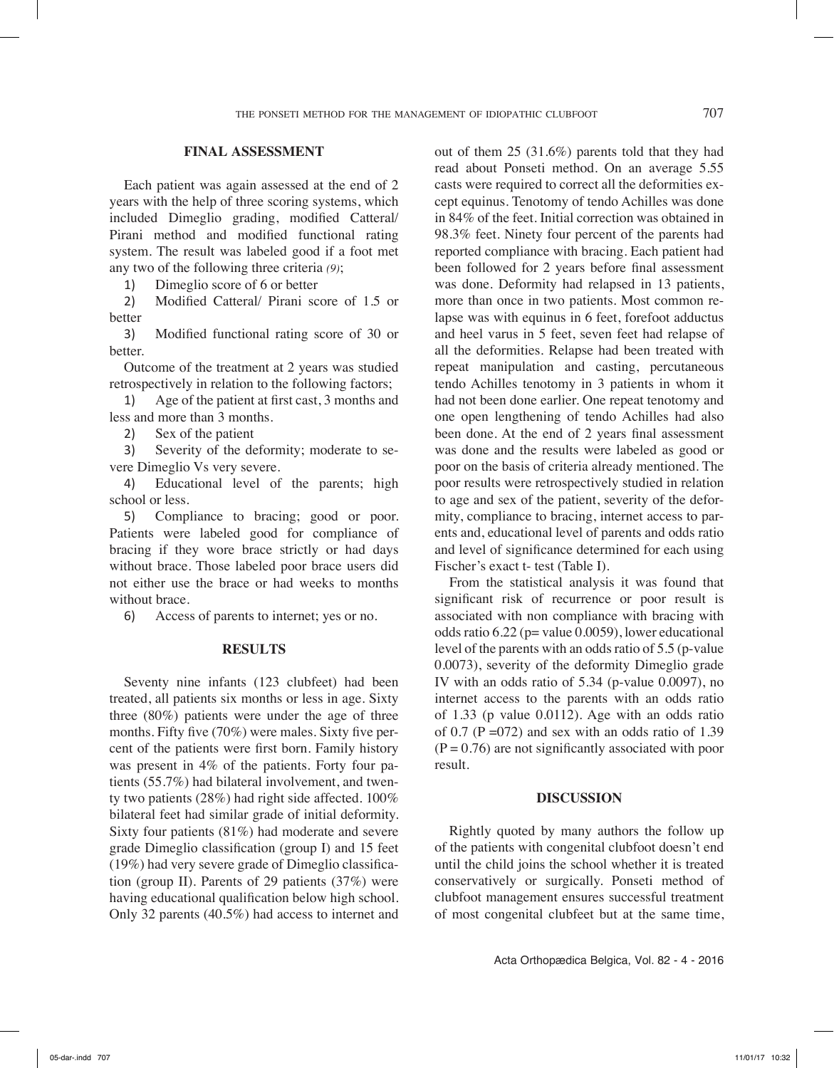# **Final assessment**

Each patient was again assessed at the end of 2 years with the help of three scoring systems, which included Dimeglio grading, modified Catteral/ Pirani method and modified functional rating system. The result was labeled good if a foot met any two of the following three criteria *(9)*;

1) Dimeglio score of 6 or better

2) Modified Catteral/ Pirani score of 1.5 or better

3) Modified functional rating score of 30 or better.

Outcome of the treatment at 2 years was studied retrospectively in relation to the following factors;

1) Age of the patient at first cast, 3 months and less and more than 3 months.

2) Sex of the patient

3) Severity of the deformity; moderate to severe Dimeglio Vs very severe.

4) Educational level of the parents; high school or less.

5) Compliance to bracing; good or poor. Patients were labeled good for compliance of bracing if they wore brace strictly or had days without brace. Those labeled poor brace users did not either use the brace or had weeks to months without brace.

6) Access of parents to internet; yes or no.

### **Results**

Seventy nine infants (123 clubfeet) had been treated, all patients six months or less in age. Sixty three (80%) patients were under the age of three months. Fifty five (70%) were males. Sixty five percent of the patients were first born. Family history was present in 4% of the patients. Forty four patients (55.7%) had bilateral involvement, and twenty two patients (28%) had right side affected. 100% bilateral feet had similar grade of initial deformity. Sixty four patients (81%) had moderate and severe grade Dimeglio classification (group I) and 15 feet (19%) had very severe grade of Dimeglio classification (group II). Parents of 29 patients (37%) were having educational qualification below high school. Only 32 parents (40.5%) had access to internet and out of them 25 (31.6%) parents told that they had read about Ponseti method. On an average 5.55 casts were required to correct all the deformities except equinus. Tenotomy of tendo Achilles was done in 84% of the feet. Initial correction was obtained in 98.3% feet. Ninety four percent of the parents had reported compliance with bracing. Each patient had been followed for 2 years before final assessment was done. Deformity had relapsed in 13 patients, more than once in two patients. Most common relapse was with equinus in 6 feet, forefoot adductus and heel varus in 5 feet, seven feet had relapse of all the deformities. Relapse had been treated with repeat manipulation and casting, percutaneous tendo Achilles tenotomy in 3 patients in whom it had not been done earlier. One repeat tenotomy and one open lengthening of tendo Achilles had also been done. At the end of 2 years final assessment was done and the results were labeled as good or poor on the basis of criteria already mentioned. The poor results were retrospectively studied in relation to age and sex of the patient, severity of the deformity, compliance to bracing, internet access to parents and, educational level of parents and odds ratio and level of significance determined for each using Fischer's exact t- test (Table I).

From the statistical analysis it was found that significant risk of recurrence or poor result is associated with non compliance with bracing with odds ratio  $6.22$  (p= value 0.0059), lower educational level of the parents with an odds ratio of 5.5 (p-value 0.0073), severity of the deformity Dimeglio grade IV with an odds ratio of 5.34 (p-value 0.0097), no internet access to the parents with an odds ratio of 1.33 (p value 0.0112). Age with an odds ratio of 0.7 ( $P = 072$ ) and sex with an odds ratio of 1.39  $(P = 0.76)$  are not significantly associated with poor result.

#### **Discussion**

Rightly quoted by many authors the follow up of the patients with congenital clubfoot doesn't end until the child joins the school whether it is treated conservatively or surgically. Ponseti method of clubfoot management ensures successful treatment of most congenital clubfeet but at the same time,

Acta Orthopædica Belgica, Vol. 82 - 4 - 2016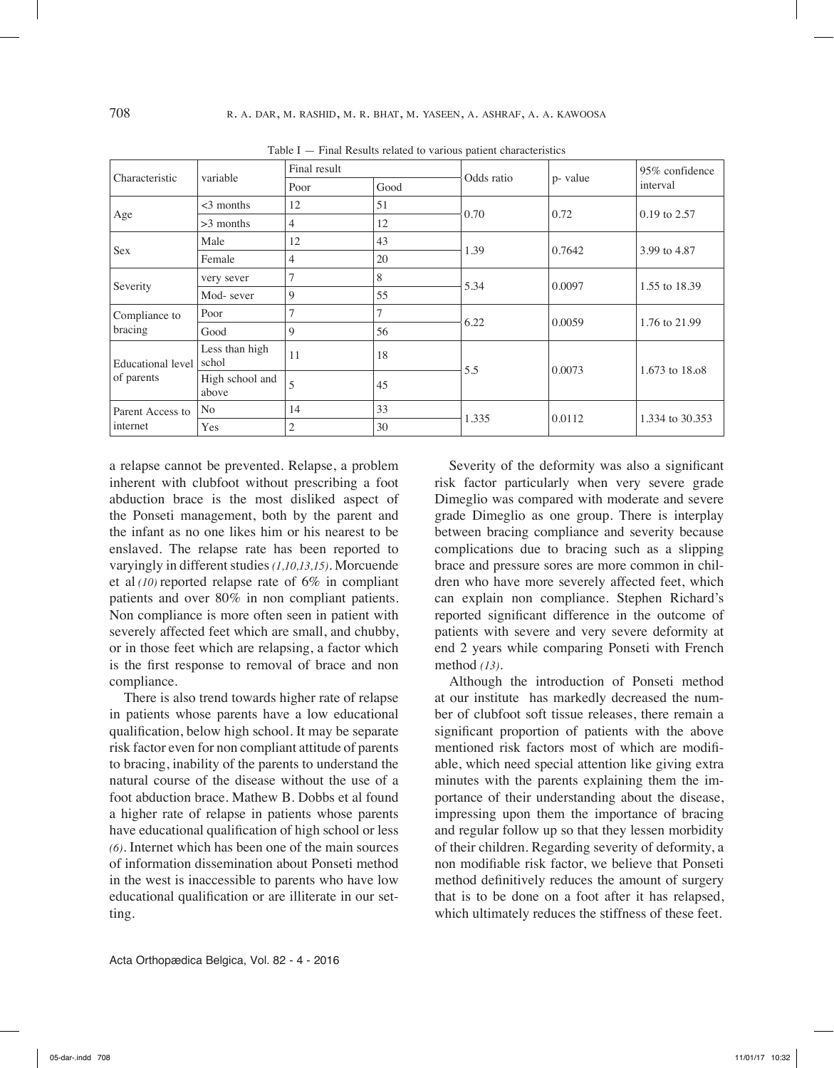| Characteristic                  | variable                 | Final result   |      | Odds ratio | p- value | 95% confidence  |
|---------------------------------|--------------------------|----------------|------|------------|----------|-----------------|
|                                 |                          | Poor           | Good |            |          | interval        |
| Age                             | $<$ 3 months             | 12             | 51   | 0.70       | 0.72     | 0.19 to 2.57    |
|                                 | $>3$ months              | 4              | 12   |            |          |                 |
| Sex                             | Male                     | 12             | 43   | 1.39       | 0.7642   | 3.99 to 4.87    |
|                                 | Female                   | 4              | 20   |            |          |                 |
| Severity                        | very sever               | 7              | 8    | 5.34       | 0.0097   | 1.55 to 18.39   |
|                                 | Mod-sever                | 9              | 55   |            |          |                 |
| Compliance to<br>bracing        | Poor                     | 7              | 7    | 6.22       | 0.0059   | 1.76 to 21.99   |
|                                 | Good                     | 9              | 56   |            |          |                 |
| Educational level<br>of parents | Less than high<br>schol  | 11             | 18   | 5.5        | 0.0073   | 1.673 to 18.08  |
|                                 | High school and<br>above | 5              | 45   |            |          |                 |
| Parent Access to<br>internet    | No                       | 14             | 33   | 1.335      | 0.0112   | 1.334 to 30.353 |
|                                 | Yes                      | $\overline{2}$ | 30   |            |          |                 |

Table I — Final Results related to various patient characteristics

a relapse cannot be prevented. Relapse, a problem inherent with clubfoot without prescribing a foot abduction brace is the most disliked aspect of the Ponseti management, both by the parent and the infant as no one likes him or his nearest to be enslaved. The relapse rate has been reported to varyingly in different studies *(1,10,13,15)*. Morcuende et al *(10)* reported relapse rate of 6% in compliant patients and over 80% in non compliant patients. Non compliance is more often seen in patient with severely affected feet which are small, and chubby, or in those feet which are relapsing, a factor which is the first response to removal of brace and non compliance.

There is also trend towards higher rate of relapse in patients whose parents have a low educational qualification, below high school. It may be separate risk factor even for non compliant attitude of parents to bracing, inability of the parents to understand the natural course of the disease without the use of a foot abduction brace. Mathew B. Dobbs et al found a higher rate of relapse in patients whose parents have educational qualification of high school or less *(6)*. Internet which has been one of the main sources of information dissemination about Ponseti method in the west is inaccessible to parents who have low educational qualification or are illiterate in our setting.

Severity of the deformity was also a significant risk factor particularly when very severe grade Dimeglio was compared with moderate and severe grade Dimeglio as one group. There is interplay between bracing compliance and severity because complications due to bracing such as a slipping brace and pressure sores are more common in children who have more severely affected feet, which can explain non compliance. Stephen Richard's reported significant difference in the outcome of patients with severe and very severe deformity at end 2 years while comparing Ponseti with French method *(13)*.

Although the introduction of Ponseti method at our institute has markedly decreased the number of clubfoot soft tissue releases, there remain a significant proportion of patients with the above mentioned risk factors most of which are modifiable, which need special attention like giving extra minutes with the parents explaining them the importance of their understanding about the disease, impressing upon them the importance of bracing and regular follow up so that they lessen morbidity of their children. Regarding severity of deformity, a non modifiable risk factor, we believe that Ponseti method definitively reduces the amount of surgery that is to be done on a foot after it has relapsed, which ultimately reduces the stiffness of these feet.